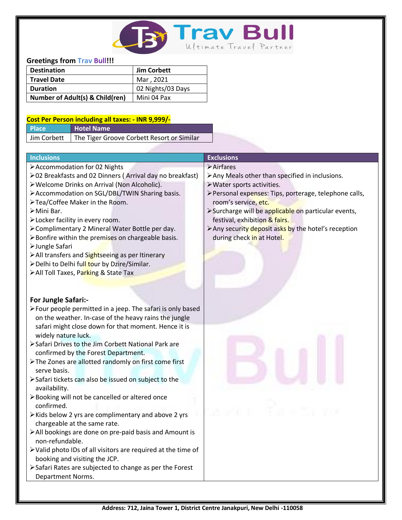

# **Greetings from Trav Bull!!!**

| <b>Destination</b>              | Jim Corbett       |
|---------------------------------|-------------------|
| <b>Travel Date</b>              | Mar, 2021         |
| <b>Duration</b>                 | 02 Nights/03 Days |
| Number of Adult(s) & Child(ren) | l Mini 04 Pax     |

### **Cost Per Person including all taxes: - INR 9,999/-**

| <b>Place</b> | Hotel Name                                               |
|--------------|----------------------------------------------------------|
|              | Jim Corbett   The Tiger Groove Corbett Resort or Similar |

| <b>Inclusions</b>                                             | <b>Exclusions</b>                                      |
|---------------------------------------------------------------|--------------------------------------------------------|
| >Accommodation for 02 Nights                                  | >Airfares                                              |
| ≻02 Breakfasts and 02 Dinners (Arrival day no breakfast)      | >Any Meals other than specified in inclusions.         |
| > Welcome Drinks on Arrival (Non Alcoholic).                  | >Water sports activities.                              |
| > Accommodation on SGL/DBL/TWIN Sharing basis.                | > Personal expenses: Tips, porterage, telephone calls, |
| >Tea/Coffee Maker in the Room.                                | room's service, etc.                                   |
| >Mini Bar.                                                    | >Surcharge will be applicable on particular events,    |
| >Locker facility in every room.                               | festival, exhibition & fairs.                          |
| > Complimentary 2 Mineral Water Bottle per day.               | > Any security deposit asks by the hotel's reception   |
| >Bonfire within the premises on chargeable basis.             | during check in at Hotel.                              |
| > Jungle Safari                                               |                                                        |
| > All transfers and Sightseeing as per Itinerary              |                                                        |
| > Delhi to Delhi full tour by Dzire/Similar.                  |                                                        |
| > All Toll Taxes, Parking & State Tax                         |                                                        |
|                                                               |                                                        |
|                                                               |                                                        |
| For Jungle Safari:-                                           |                                                        |
| > Four people permitted in a jeep. The safari is only based   |                                                        |
| on the weather. In-case of the heavy rains the jungle         |                                                        |
| safari might close down for that moment. Hence it is          |                                                        |
| widely nature luck.                                           |                                                        |
| > Safari Drives to the Jim Corbett National Park are          |                                                        |
| confirmed by the Forest Department.                           |                                                        |
| > The Zones are allotted randomly on first come first         |                                                        |
| serve basis.                                                  |                                                        |
| > Safari tickets can also be issued on subject to the         |                                                        |
| availability.                                                 |                                                        |
| >Booking will not be cancelled or altered once                |                                                        |
| confirmed.                                                    |                                                        |
| > Kids below 2 yrs are complimentary and above 2 yrs          |                                                        |
| chargeable at the same rate.                                  |                                                        |
| > All bookings are done on pre-paid basis and Amount is       |                                                        |
| non-refundable.                                               |                                                        |
| > Valid photo IDs of all visitors are required at the time of |                                                        |
| booking and visiting the JCP.                                 |                                                        |
| > Safari Rates are subjected to change as per the Forest      |                                                        |
| Department Norms.                                             |                                                        |
|                                                               |                                                        |